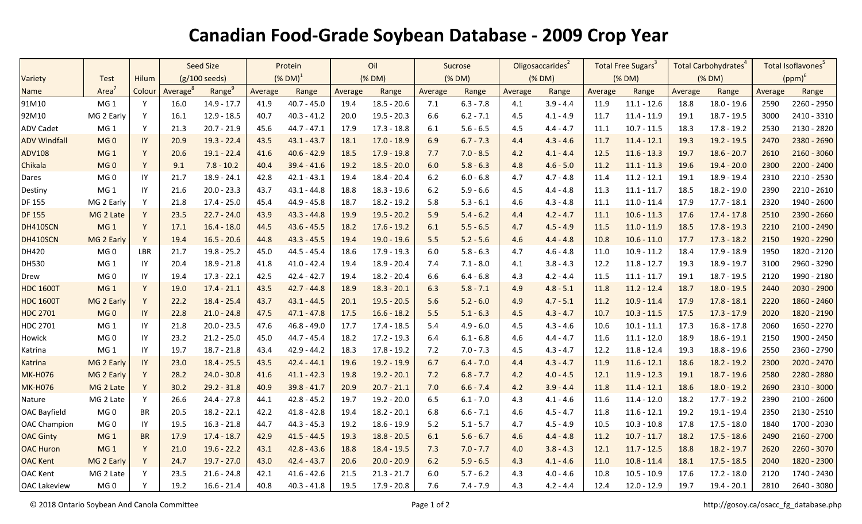## **Canadian Food-Grade Soybean Database - 2009 Crop Year**

|                     |                   |              | Seed Size               |                    | Protein                |               | Oil     |               | Sucrose |             | Oligosaccarides <sup>2</sup> |             | Total Free Sugars <sup>3</sup> |               | Total Carbohydrates <sup>4</sup> |               | Total Isoflavones <sup>5</sup> |               |
|---------------------|-------------------|--------------|-------------------------|--------------------|------------------------|---------------|---------|---------------|---------|-------------|------------------------------|-------------|--------------------------------|---------------|----------------------------------|---------------|--------------------------------|---------------|
| Variety             | <b>Test</b>       | <b>Hilum</b> | $(g/100 \text{ seeds})$ |                    | $(\%$ DM) <sup>1</sup> |               | (% DM)  |               | (% DM)  |             | (% DM)                       |             | (% DM)                         |               | (% DM)                           |               | $(ppm)^6$                      |               |
| Name                | Area <sup>®</sup> | Colour       | Average <sup>8</sup>    | Range <sup>9</sup> | Average                | Range         | Average | Range         | Average | Range       | Average                      | Range       | Average                        | Range         | Average                          | Range         | Average                        | Range         |
| 91M10               | MG <sub>1</sub>   | Y            | 16.0                    | $14.9 - 17.7$      | 41.9                   | $40.7 - 45.0$ | 19.4    | $18.5 - 20.6$ | 7.1     | $6.3 - 7.8$ | 4.1                          | $3.9 - 4.4$ | 11.9                           | $11.1 - 12.6$ | 18.8                             | $18.0 - 19.6$ | 2590                           | 2260 - 2950   |
| 92M10               | MG 2 Early        | Y            | 16.1                    | 12.9 - 18.5        | 40.7                   | $40.3 - 41.2$ | 20.0    | $19.5 - 20.3$ | 6.6     | $6.2 - 7.1$ | 4.5                          | $4.1 - 4.9$ | 11.7                           | $11.4 - 11.9$ | 19.1                             | $18.7 - 19.5$ | 3000                           | 2410 - 3310   |
| <b>ADV Cadet</b>    | MG <sub>1</sub>   | Y            | 21.3                    | $20.7 - 21.9$      | 45.6                   | $44.7 - 47.1$ | 17.9    | $17.3 - 18.8$ | 6.1     | $5.6 - 6.5$ | 4.5                          | $4.4 - 4.7$ | 11.1                           | $10.7 - 11.5$ | 18.3                             | $17.8 - 19.2$ | 2530                           | 2130 - 2820   |
| <b>ADV Windfall</b> | MG <sub>0</sub>   | IY           | 20.9                    | $19.3 - 22.4$      | 43.5                   | $43.1 - 43.7$ | 18.1    | $17.0 - 18.9$ | 6.9     | $6.7 - 7.3$ | 4.4                          | $4.3 - 4.6$ | 11.7                           | $11.4 - 12.1$ | 19.3                             | $19.2 - 19.5$ | 2470                           | 2380 - 2690   |
| <b>ADV108</b>       | MG <sub>1</sub>   | Y            | 20.6                    | $19.1 - 22.4$      | 41.6                   | $40.6 - 42.9$ | 18.5    | $17.9 - 19.8$ | 7.7     | $7.0 - 8.5$ | 4.2                          | $4.1 - 4.4$ | 12.5                           | $11.6 - 13.3$ | 19.7                             | $18.6 - 20.7$ | 2610                           | $2160 - 3060$ |
| Chikala             | MG <sub>0</sub>   | Y            | 9.1                     | $7.8 - 10.2$       | 40.4                   | $39.4 - 41.6$ | 19.2    | $18.5 - 20.0$ | 6.0     | $5.8 - 6.3$ | 4.8                          | $4.6 - 5.0$ | 11.2                           | $11.1 - 11.3$ | 19.6                             | $19.4 - 20.0$ | 2300                           | $2200 - 2400$ |
| Dares               | MG <sub>0</sub>   | IY           | 21.7                    | $18.9 - 24.1$      | 42.8                   | $42.1 - 43.1$ | 19.4    | $18.4 - 20.4$ | $6.2$   | $6.0 - 6.8$ | 4.7                          | $4.7 - 4.8$ | 11.4                           | $11.2 - 12.1$ | 19.1                             | 18.9 - 19.4   | 2310                           | 2210 - 2530   |
| Destiny             | MG <sub>1</sub>   | IY           | 21.6                    | $20.0 - 23.3$      | 43.7                   | $43.1 - 44.8$ | 18.8    | $18.3 - 19.6$ | 6.2     | $5.9 - 6.6$ | 4.5                          | $4.4 - 4.8$ | 11.3                           | $11.1 - 11.7$ | 18.5                             | 18.2 - 19.0   | 2390                           | 2210 - 2610   |
| DF 155              | MG 2 Early        | Y            | 21.8                    | $17.4 - 25.0$      | 45.4                   | $44.9 - 45.8$ | 18.7    | $18.2 - 19.2$ | 5.8     | $5.3 - 6.1$ | 4.6                          | $4.3 - 4.8$ | 11.1                           | $11.0 - 11.4$ | 17.9                             | $17.7 - 18.1$ | 2320                           | 1940 - 2600   |
| <b>DF 155</b>       | MG 2 Late         | Y            | 23.5                    | $22.7 - 24.0$      | 43.9                   | $43.3 - 44.8$ | 19.9    | $19.5 - 20.2$ | 5.9     | $5.4 - 6.2$ | 4.4                          | $4.2 - 4.7$ | 11.1                           | $10.6 - 11.3$ | 17.6                             | $17.4 - 17.8$ | 2510                           | 2390 - 2660   |
| DH410SCN            | MG <sub>1</sub>   | Y            | 17.1                    | $16.4 - 18.0$      | 44.5                   | $43.6 - 45.5$ | 18.2    | $17.6 - 19.2$ | 6.1     | $5.5 - 6.5$ | 4.7                          | $4.5 - 4.9$ | 11.5                           | $11.0 - 11.9$ | 18.5                             | $17.8 - 19.3$ | 2210                           | $2100 - 2490$ |
| DH410SCN            | MG 2 Early        | Y            | 19.4                    | $16.5 - 20.6$      | 44.8                   | $43.3 - 45.5$ | 19.4    | $19.0 - 19.6$ | 5.5     | $5.2 - 5.6$ | 4.6                          | $4.4 - 4.8$ | 10.8                           | $10.6 - 11.0$ | 17.7                             | $17.3 - 18.2$ | 2150                           | 1920 - 2290   |
| DH420               | MG <sub>0</sub>   | LBR          | 21.7                    | $19.8 - 25.2$      | 45.0                   | $44.5 - 45.4$ | 18.6    | $17.9 - 19.3$ | 6.0     | $5.8 - 6.3$ | 4.7                          | $4.6 - 4.8$ | 11.0                           | $10.9 - 11.2$ | 18.4                             | $17.9 - 18.9$ | 1950                           | 1820 - 2120   |
| <b>DH530</b>        | MG <sub>1</sub>   | IY           | 20.4                    | $18.9 - 21.8$      | 41.8                   | $41.0 - 42.4$ | 19.4    | $18.9 - 20.4$ | 7.4     | $7.1 - 8.0$ | 4.1                          | $3.8 - 4.3$ | 12.2                           | $11.8 - 12.7$ | 19.3                             | $18.9 - 19.7$ | 3100                           | 2960 - 3290   |
| Drew                | MG <sub>0</sub>   | IY           | 19.4                    | $17.3 - 22.1$      | 42.5                   | $42.4 - 42.7$ | 19.4    | $18.2 - 20.4$ | 6.6     | $6.4 - 6.8$ | 4.3                          | $4.2 - 4.4$ | 11.5                           | $11.1 - 11.7$ | 19.1                             | $18.7 - 19.5$ | 2120                           | 1990 - 2180   |
| <b>HDC 1600T</b>    | MG <sub>1</sub>   | Y            | 19.0                    | $17.4 - 21.1$      | 43.5                   | $42.7 - 44.8$ | 18.9    | $18.3 - 20.1$ | 6.3     | $5.8 - 7.1$ | 4.9                          | $4.8 - 5.1$ | 11.8                           | $11.2 - 12.4$ | 18.7                             | $18.0 - 19.5$ | 2440                           | $2030 - 2900$ |
| <b>HDC 1600T</b>    | MG 2 Early        | Y            | 22.2                    | $18.4 - 25.4$      | 43.7                   | $43.1 - 44.5$ | 20.1    | $19.5 - 20.5$ | 5.6     | $5.2 - 6.0$ | 4.9                          | $4.7 - 5.1$ | 11.2                           | $10.9 - 11.4$ | 17.9                             | $17.8 - 18.1$ | 2220                           | 1860 - 2460   |
| <b>HDC 2701</b>     | MG <sub>0</sub>   | IY           | 22.8                    | $21.0 - 24.8$      | 47.5                   | $47.1 - 47.8$ | 17.5    | $16.6 - 18.2$ | 5.5     | $5.1 - 6.3$ | 4.5                          | $4.3 - 4.7$ | 10.7                           | $10.3 - 11.5$ | 17.5                             | $17.3 - 17.9$ | 2020                           | 1820 - 2190   |
| <b>HDC 2701</b>     | MG <sub>1</sub>   | IY           | 21.8                    | $20.0 - 23.5$      | 47.6                   | $46.8 - 49.0$ | 17.7    | $17.4 - 18.5$ | 5.4     | $4.9 - 6.0$ | 4.5                          | $4.3 - 4.6$ | 10.6                           | $10.1 - 11.1$ | 17.3                             | $16.8 - 17.8$ | 2060                           | 1650 - 2270   |
| Howick              | MG <sub>0</sub>   | IY           | 23.2                    | $21.2 - 25.0$      | 45.0                   | $44.7 - 45.4$ | 18.2    | $17.2 - 19.3$ | 6.4     | $6.1 - 6.8$ | 4.6                          | $4.4 - 4.7$ | 11.6                           | $11.1 - 12.0$ | 18.9                             | $18.6 - 19.1$ | 2150                           | 1900 - 2450   |
| Katrina             | MG <sub>1</sub>   | IY           | 19.7                    | $18.7 - 21.8$      | 43.4                   | $42.9 - 44.2$ | 18.3    | $17.8 - 19.2$ | 7.2     | $7.0 - 7.3$ | 4.5                          | $4.3 - 4.7$ | 12.2                           | $11.8 - 12.4$ | 19.3                             | 18.8 - 19.6   | 2550                           | 2360 - 2790   |
| <b>Katrina</b>      | MG 2 Early        | IY           | 23.0                    | $18.4 - 25.5$      | 43.5                   | $42.4 - 44.1$ | 19.6    | 19.2 - 19.9   | 6.7     | $6.4 - 7.0$ | 4.4                          | $4.3 - 4.7$ | 11.9                           | $11.6 - 12.1$ | 18.6                             | $18.2 - 19.2$ | 2300                           | 2020 - 2470   |
| <b>MK-H076</b>      | MG 2 Early        | Y            | 28.2                    | $24.0 - 30.8$      | 41.6                   | $41.1 - 42.3$ | 19.8    | $19.2 - 20.1$ | 7.2     | $6.8 - 7.7$ | 4.2                          | $4.0 - 4.5$ | 12.1                           | $11.9 - 12.3$ | 19.1                             | $18.7 - 19.6$ | 2580                           | 2280 - 2880   |
| <b>MK-H076</b>      | MG 2 Late         | Y            | 30.2                    | $29.2 - 31.8$      | 40.9                   | $39.8 - 41.7$ | 20.9    | $20.7 - 21.1$ | 7.0     | $6.6 - 7.4$ | 4.2                          | $3.9 - 4.4$ | 11.8                           | $11.4 - 12.1$ | 18.6                             | $18.0 - 19.2$ | 2690                           | 2310 - 3000   |
| Nature              | MG 2 Late         | Y            | 26.6                    | $24.4 - 27.8$      | 44.1                   | $42.8 - 45.2$ | 19.7    | $19.2 - 20.0$ | 6.5     | $6.1 - 7.0$ | 4.3                          | $4.1 - 4.6$ | 11.6                           | $11.4 - 12.0$ | 18.2                             | $17.7 - 19.2$ | 2390                           | $2100 - 2600$ |
| <b>OAC Bayfield</b> | MG <sub>0</sub>   | <b>BR</b>    | 20.5                    | $18.2 - 22.1$      | 42.2                   | $41.8 - 42.8$ | 19.4    | $18.2 - 20.1$ | 6.8     | $6.6 - 7.1$ | 4.6                          | $4.5 - 4.7$ | 11.8                           | $11.6 - 12.1$ | 19.2                             | $19.1 - 19.4$ | 2350                           | $2130 - 2510$ |
| <b>OAC Champion</b> | MG <sub>0</sub>   | IY           | 19.5                    | $16.3 - 21.8$      | 44.7                   | $44.3 - 45.3$ | 19.2    | $18.6 - 19.9$ | 5.2     | $5.1 - 5.7$ | 4.7                          | $4.5 - 4.9$ | 10.5                           | $10.3 - 10.8$ | 17.8                             | $17.5 - 18.0$ | 1840                           | 1700 - 2030   |
| <b>OAC Ginty</b>    | MG <sub>1</sub>   | <b>BR</b>    | 17.9                    | $17.4 - 18.7$      | 42.9                   | $41.5 - 44.5$ | 19.3    | $18.8 - 20.5$ | 6.1     | $5.6 - 6.7$ | 4.6                          | $4.4 - 4.8$ | 11.2                           | $10.7 - 11.7$ | 18.2                             | $17.5 - 18.6$ | 2490                           | $2160 - 2700$ |
| <b>OAC Huron</b>    | MG <sub>1</sub>   | Y            | 21.0                    | $19.6 - 22.2$      | 43.1                   | $42.8 - 43.6$ | 18.8    | $18.4 - 19.5$ | 7.3     | $7.0 - 7.7$ | 4.0                          | $3.8 - 4.3$ | 12.1                           | $11.7 - 12.5$ | 18.8                             | $18.2 - 19.7$ | 2620                           | 2260 - 3070   |
| <b>OAC Kent</b>     | MG 2 Early        | Y            | 24.7                    | $19.7 - 27.0$      | 43.0                   | $42.4 - 43.7$ | 20.6    | $20.0 - 20.9$ | 6.2     | $5.9 - 6.5$ | 4.3                          | $4.1 - 4.6$ | 11.0                           | $10.8 - 11.4$ | 18.1                             | $17.5 - 18.5$ | 2040                           | 1820 - 2300   |
| <b>OAC Kent</b>     | MG 2 Late         | Y            | 23.5                    | $21.6 - 24.8$      | 42.1                   | $41.6 - 42.6$ | 21.5    | $21.3 - 21.7$ | $6.0\,$ | $5.7 - 6.2$ | 4.3                          | $4.0 - 4.6$ | 10.8                           | $10.5 - 10.9$ | 17.6                             | $17.2 - 18.0$ | 2120                           | 1740 - 2430   |
| <b>OAC Lakeview</b> | MG 0              | Υ            | 19.2                    | $16.6 - 21.4$      | 40.8                   | $40.3 - 41.8$ | 19.5    | 17.9 - 20.8   | 7.6     | $7.4 - 7.9$ | 4.3                          | $4.2 - 4.4$ | 12.4                           | $12.0 - 12.9$ | 19.7                             | $19.4 - 20.1$ | 2810                           | 2640 - 3080   |